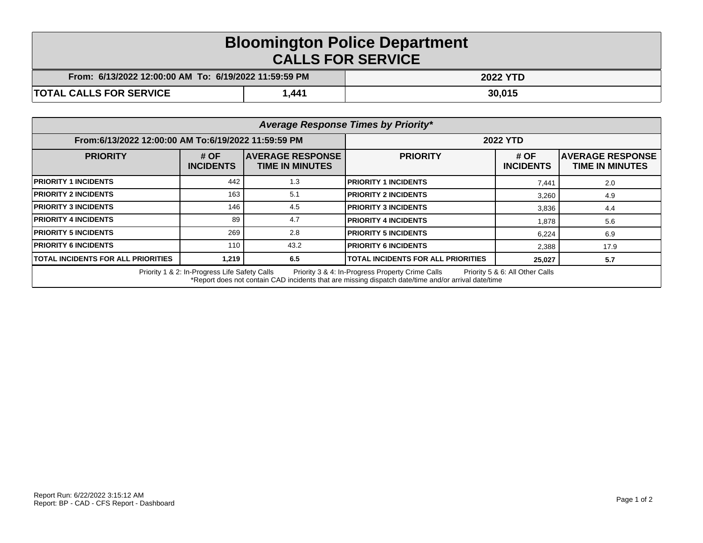## **Bloomington Police Department CALLS FOR SERVICE**

| From: 6/13/2022 12:00:00 AM To: 6/19/2022 11:59:59 PM |      | <b>2022 YTD</b> |  |
|-------------------------------------------------------|------|-----------------|--|
| <b>TOTAL CALLS FOR SERVICE</b>                        | ,441 | 30,015          |  |

| Average Response Times by Priority*                                                                                                                                                                                                         |                            |                                                    |                                           |                          |                                                    |  |  |
|---------------------------------------------------------------------------------------------------------------------------------------------------------------------------------------------------------------------------------------------|----------------------------|----------------------------------------------------|-------------------------------------------|--------------------------|----------------------------------------------------|--|--|
| From:6/13/2022 12:00:00 AM To:6/19/2022 11:59:59 PM                                                                                                                                                                                         |                            | <b>2022 YTD</b>                                    |                                           |                          |                                                    |  |  |
| <b>PRIORITY</b>                                                                                                                                                                                                                             | # $OF$<br><b>INCIDENTS</b> | <b>IAVERAGE RESPONSE</b><br><b>TIME IN MINUTES</b> | <b>PRIORITY</b>                           | # OF<br><b>INCIDENTS</b> | <b>IAVERAGE RESPONSE</b><br><b>TIME IN MINUTES</b> |  |  |
| <b>PRIORITY 1 INCIDENTS</b>                                                                                                                                                                                                                 | 442                        | 1.3                                                | <b>PRIORITY 1 INCIDENTS</b>               | 7,441                    | 2.0                                                |  |  |
| <b>PRIORITY 2 INCIDENTS</b>                                                                                                                                                                                                                 | 163                        | 5.1                                                | <b>PRIORITY 2 INCIDENTS</b>               | 3,260                    | 4.9                                                |  |  |
| <b>PRIORITY 3 INCIDENTS</b>                                                                                                                                                                                                                 | 146                        | 4.5                                                | <b>PRIORITY 3 INCIDENTS</b>               | 3,836                    | 4.4                                                |  |  |
| <b>PRIORITY 4 INCIDENTS</b>                                                                                                                                                                                                                 | 89                         | 4.7                                                | <b>PRIORITY 4 INCIDENTS</b>               | 1,878                    | 5.6                                                |  |  |
| <b>PRIORITY 5 INCIDENTS</b>                                                                                                                                                                                                                 | 269                        | 2.8                                                | <b>PRIORITY 5 INCIDENTS</b>               | 6,224                    | 6.9                                                |  |  |
| <b>PRIORITY 6 INCIDENTS</b>                                                                                                                                                                                                                 | 110                        | 43.2                                               | <b>PRIORITY 6 INCIDENTS</b>               | 2,388                    | 17.9                                               |  |  |
| <b>TOTAL INCIDENTS FOR ALL PRIORITIES</b>                                                                                                                                                                                                   | 1.219                      | 6.5                                                | <b>TOTAL INCIDENTS FOR ALL PRIORITIES</b> | 25,027                   | 5.7                                                |  |  |
| Priority 1 & 2: In-Progress Life Safety Calls<br>Priority 3 & 4: In-Progress Property Crime Calls<br>Priority 5 & 6: All Other Calls<br>*Report does not contain CAD incidents that are missing dispatch date/time and/or arrival date/time |                            |                                                    |                                           |                          |                                                    |  |  |